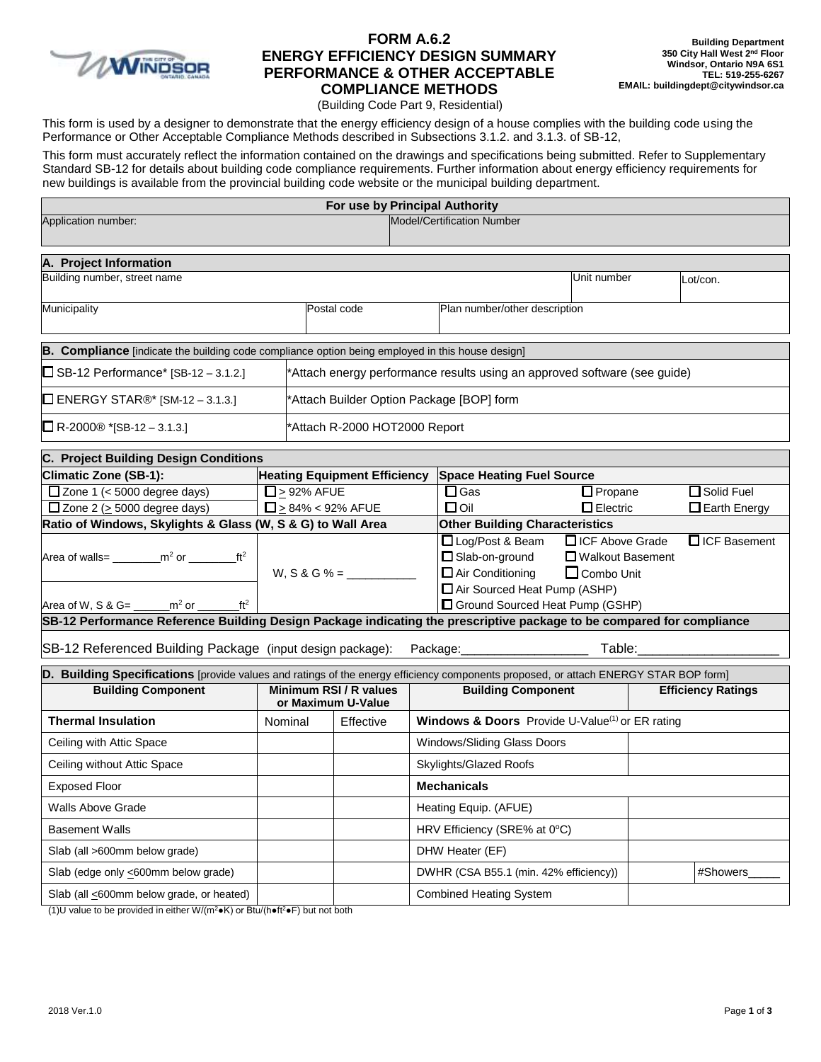

# **FORM A.6.2 ENERGY EFFICIENCY DESIGN SUMMARY PERFORMANCE & OTHER ACCEPTABLE COMPLIANCE METHODS**

(Building Code Part 9, Residential)

This form is used by a designer to demonstrate that the energy efficiency design of a house complies with the building code using the Performance or Other Acceptable Compliance Methods described in Subsections 3.1.2. and 3.1.3. of SB-12,

This form must accurately reflect the information contained on the drawings and specifications being submitted. Refer to Supplementary Standard SB-12 for details about building code compliance requirements. Further information about energy efficiency requirements for new buildings is available from the provincial building code website or the municipal building department.

|                                                                                                                                      |                                              |                   | For use by Principal Authority                                            |                           |                                                                 |                                                             |  |                       |
|--------------------------------------------------------------------------------------------------------------------------------------|----------------------------------------------|-------------------|---------------------------------------------------------------------------|---------------------------|-----------------------------------------------------------------|-------------------------------------------------------------|--|-----------------------|
| Application number:                                                                                                                  |                                              |                   |                                                                           |                           | Model/Certification Number                                      |                                                             |  |                       |
| A. Project Information                                                                                                               |                                              |                   |                                                                           |                           |                                                                 |                                                             |  |                       |
| Building number, street name                                                                                                         |                                              |                   |                                                                           |                           |                                                                 | Unit number                                                 |  | Lot/con.              |
| Municipality                                                                                                                         |                                              |                   | Postal code                                                               |                           | Plan number/other description                                   |                                                             |  |                       |
| B. Compliance [indicate the building code compliance option being employed in this house design]                                     |                                              |                   |                                                                           |                           |                                                                 |                                                             |  |                       |
| $\Box$ SB-12 Performance* [SB-12 – 3.1.2.]                                                                                           |                                              |                   | *Attach energy performance results using an approved software (see guide) |                           |                                                                 |                                                             |  |                       |
| $\Box$ ENERGY STAR®* [SM-12 – 3.1.3.]                                                                                                |                                              |                   | *Attach Builder Option Package [BOP] form                                 |                           |                                                                 |                                                             |  |                       |
| $\Box$ R-2000® *[SB-12 – 3.1.3.]<br>Attach R-2000 HOT2000 Report*                                                                    |                                              |                   |                                                                           |                           |                                                                 |                                                             |  |                       |
| C. Project Building Design Conditions                                                                                                |                                              |                   |                                                                           |                           |                                                                 |                                                             |  |                       |
| Climatic Zone (SB-1):                                                                                                                |                                              |                   | <b>Heating Equipment Efficiency</b>                                       |                           | <b>Space Heating Fuel Source</b>                                |                                                             |  |                       |
| $\Box$ Zone 1 (< 5000 degree days)                                                                                                   |                                              | $\Box$ > 92% AFUE |                                                                           |                           | $\Box$ Gas                                                      | <b>O</b> Propane                                            |  | Solid Fuel            |
| $\Box$ Zone 2 ( $\geq$ 5000 degree days)                                                                                             |                                              |                   | $\Box$ > 84% < 92% AFUE                                                   |                           | $\Box$ Oil                                                      | $\Box$ Electric                                             |  | <b>D</b> Earth Energy |
| Ratio of Windows, Skylights & Glass (W, S & G) to Wall Area                                                                          |                                              |                   |                                                                           |                           | <b>Other Building Characteristics</b>                           |                                                             |  |                       |
| Area of walls= $\frac{m^2}{m^2}$ or $\frac{m}{m^2}$                                                                                  |                                              |                   |                                                                           |                           | Log/Post & Beam<br>Slab-on-ground<br>$\Box$ Air Conditioning    | <b>CICF Above Grade</b><br>□ Walkout Basement<br>Combo Unit |  | □ ICF Basement        |
| Area of W, S & G= $\frac{m^2 or}{m^2}$<br>ft <sup>2</sup>                                                                            |                                              |                   |                                                                           |                           | Air Sourced Heat Pump (ASHP)<br>Ground Sourced Heat Pump (GSHP) |                                                             |  |                       |
| SB-12 Performance Reference Building Design Package indicating the prescriptive package to be compared for compliance                |                                              |                   |                                                                           |                           |                                                                 |                                                             |  |                       |
| SB-12 Referenced Building Package (input design package):                                                                            |                                              |                   |                                                                           |                           | Package:                                                        | Table:                                                      |  |                       |
| D. Building Specifications [provide values and ratings of the energy efficiency components proposed, or attach ENERGY STAR BOP form] |                                              |                   |                                                                           |                           |                                                                 |                                                             |  |                       |
| <b>Building Component</b>                                                                                                            | Minimum RSI / R values<br>or Maximum U-Value |                   |                                                                           | <b>Building Component</b> |                                                                 | <b>Efficiency Ratings</b>                                   |  |                       |
| <b>Thermal Insulation</b>                                                                                                            |                                              | Nominal           | Effective                                                                 |                           | Windows & Doors Provide U-Value <sup>(1)</sup> or ER rating     |                                                             |  |                       |
| Ceiling with Attic Space                                                                                                             |                                              |                   |                                                                           |                           | Windows/Sliding Glass Doors                                     |                                                             |  |                       |
| Ceiling without Attic Space                                                                                                          |                                              |                   |                                                                           |                           | Skylights/Glazed Roofs                                          |                                                             |  |                       |
| <b>Exposed Floor</b>                                                                                                                 |                                              |                   |                                                                           |                           | <b>Mechanicals</b>                                              |                                                             |  |                       |
| <b>Walls Above Grade</b>                                                                                                             |                                              |                   |                                                                           |                           | Heating Equip. (AFUE)                                           |                                                             |  |                       |
| <b>Basement Walls</b>                                                                                                                |                                              |                   |                                                                           |                           | HRV Efficiency (SRE% at 0°C)                                    |                                                             |  |                       |
| Slab (all >600mm below grade)                                                                                                        |                                              |                   |                                                                           |                           | DHW Heater (EF)                                                 |                                                             |  |                       |
| Slab (edge only <600mm below grade)                                                                                                  |                                              |                   |                                                                           |                           | DWHR (CSA B55.1 (min. 42% efficiency))                          |                                                             |  | #Showers              |
| Slab (all <600mm below grade, or heated)                                                                                             |                                              |                   |                                                                           |                           | <b>Combined Heating System</b>                                  |                                                             |  |                       |

(1)U value to be provided in either W/(m<sup>2</sup> $\bullet$ K) or Btu/(h $\bullet$ ft<sup>2</sup> $\bullet$ F) but not both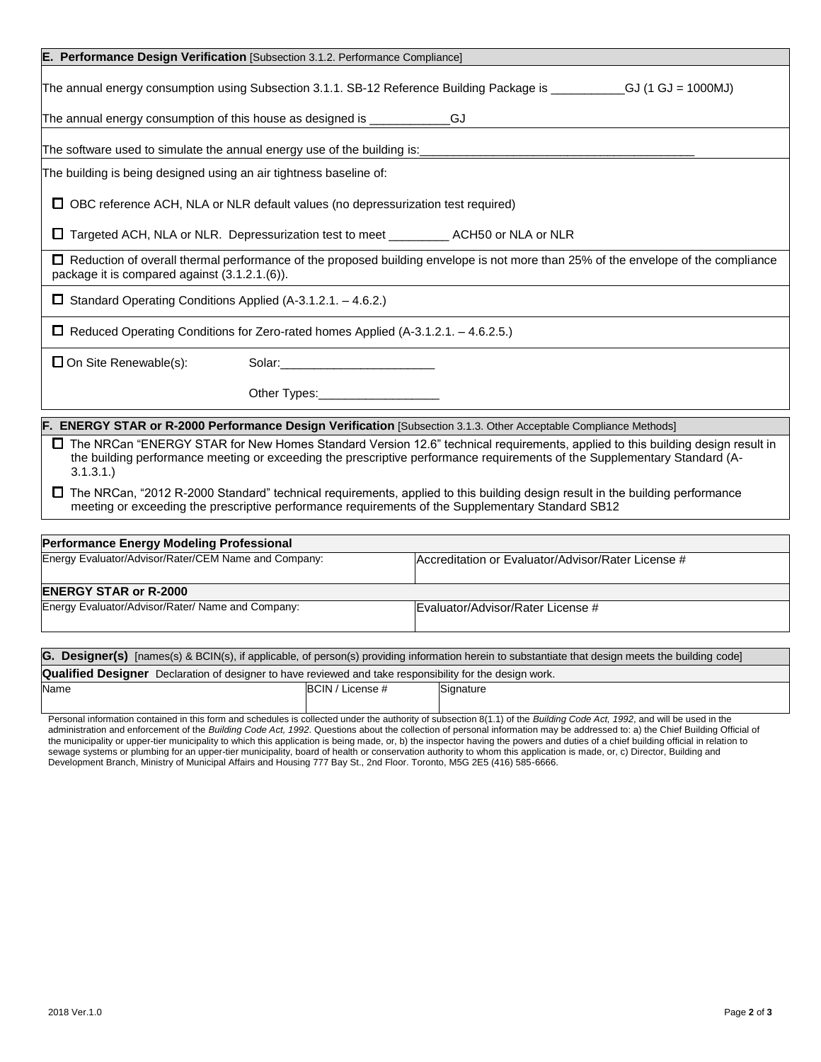|                                                                    | E. Performance Design Verification [Subsection 3.1.2. Performance Compliance]                                                                                                                                                                                |
|--------------------------------------------------------------------|--------------------------------------------------------------------------------------------------------------------------------------------------------------------------------------------------------------------------------------------------------------|
|                                                                    | The annual energy consumption using Subsection 3.1.1. SB-12 Reference Building Package is __________GJ (1 GJ = 1000MJ)                                                                                                                                       |
|                                                                    | The annual energy consumption of this house as designed is _____________GJ                                                                                                                                                                                   |
|                                                                    |                                                                                                                                                                                                                                                              |
| The building is being designed using an air tightness baseline of: |                                                                                                                                                                                                                                                              |
|                                                                    | $\Box$ OBC reference ACH, NLA or NLR default values (no depressurization test required)                                                                                                                                                                      |
|                                                                    | □ Targeted ACH, NLA or NLR. Depressurization test to meet _____________ACH50 or NLA or NLR                                                                                                                                                                   |
| package it is compared against (3.1.2.1.(6)).                      | □ Reduction of overall thermal performance of the proposed building envelope is not more than 25% of the envelope of the compliance                                                                                                                          |
| $\Box$ Standard Operating Conditions Applied (A-3.1.2.1. -4.6.2.)  |                                                                                                                                                                                                                                                              |
|                                                                    | □ Reduced Operating Conditions for Zero-rated homes Applied (A-3.1.2.1. – 4.6.2.5.)                                                                                                                                                                          |
| $\Box$ On Site Renewable(s):                                       |                                                                                                                                                                                                                                                              |
|                                                                    | Other Types: ______________________                                                                                                                                                                                                                          |
|                                                                    | F. ENERGY STAR or R-2000 Performance Design Verification [Subsection 3.1.3. Other Acceptable Compliance Methods]                                                                                                                                             |
| 3.1.3.1.                                                           | □ The NRCan "ENERGY STAR for New Homes Standard Version 12.6" technical requirements, applied to this building design result in<br>the building performance meeting or exceeding the prescriptive performance requirements of the Supplementary Standard (A- |

The NRCan, "2012 R-2000 Standard" technical requirements, applied to this building design result in the building performance meeting or exceeding the prescriptive performance requirements of the Supplementary Standard SB12

| <b>Performance Energy Modeling Professional</b>                                                                 |                                                                                                                                                         |  |  |  |
|-----------------------------------------------------------------------------------------------------------------|---------------------------------------------------------------------------------------------------------------------------------------------------------|--|--|--|
| Energy Evaluator/Advisor/Rater/CEM Name and Company:                                                            | Accreditation or Evaluator/Advisor/Rater License #                                                                                                      |  |  |  |
| <b>ENERGY STAR or R-2000</b>                                                                                    |                                                                                                                                                         |  |  |  |
|                                                                                                                 |                                                                                                                                                         |  |  |  |
| Energy Evaluator/Advisor/Rater/ Name and Company:                                                               | Evaluator/Advisor/Rater License #                                                                                                                       |  |  |  |
|                                                                                                                 |                                                                                                                                                         |  |  |  |
|                                                                                                                 | <b>G. Designer(s)</b> [names(s) & BCIN(s), if applicable, of person(s) providing information herein to substantiate that design meets the building code |  |  |  |
| <b>Qualified Designer</b> Declaration of designer to have reviewed and take responsibility for the design work. |                                                                                                                                                         |  |  |  |

| <b>Qualified Designer</b> | Declaration of designer to have reviewed and take responsibility for the design work. |                                |           |  |  |  |
|---------------------------|---------------------------------------------------------------------------------------|--------------------------------|-----------|--|--|--|
| Name                      |                                                                                       | <b>BCIN</b><br>$'$ License $#$ | Signature |  |  |  |
|                           |                                                                                       |                                |           |  |  |  |

Personal information contained in this form and schedules is collected under the authority of subsection 8(1.1) of the *Building Code Act, 1992*, and will be used in the administration and enforcement of the *Building Code Act, 1992*. Questions about the collection of personal information may be addressed to: a) the Chief Building Official of the municipality or upper-tier municipality to which this application is being made, or, b) the inspector having the powers and duties of a chief building official in relation to sewage systems or plumbing for an upper-tier municipality, board of health or conservation authority to whom this application is made, or, c) Director, Building and Development Branch, Ministry of Municipal Affairs and Housing 777 Bay St., 2nd Floor. Toronto, M5G 2E5 (416) 585-6666.